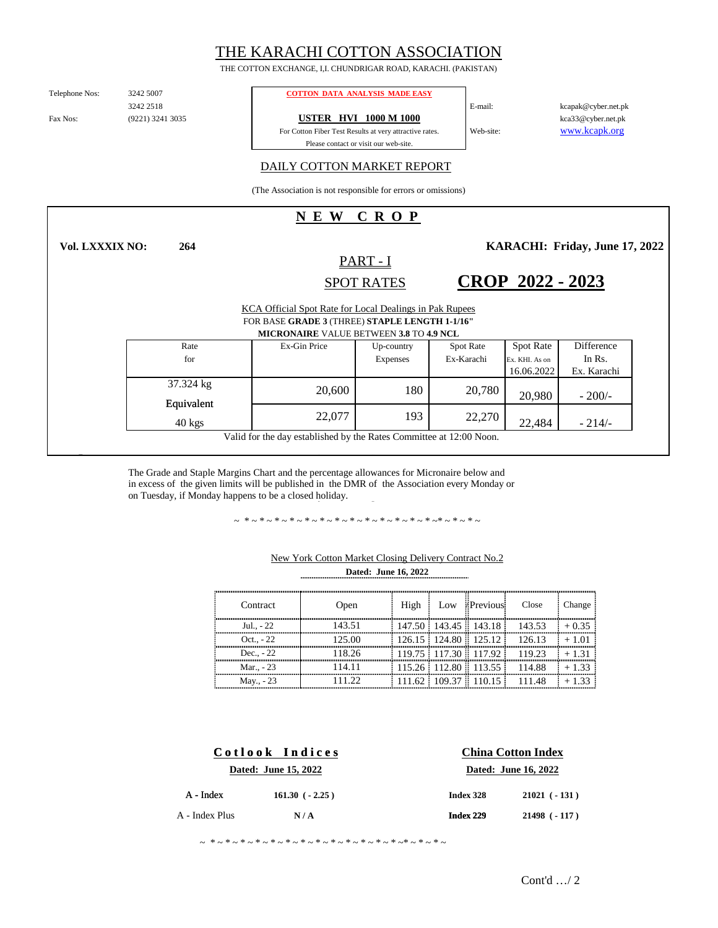# THE KARACHI COTTON ASSOCIATION

THE COTTON EXCHANGE, I,I. CHUNDRIGAR ROAD, KARACHI. (PAKISTAN)

Telephone Nos:

3242 2518 (9221) 3241 3035

**264**

#### 3242 5007 **COTTON DATA ANALYSIS MADE EASY**

Fax Nos: (9221) 3241 3035 **USTER HVI 1000 M 1000** 

For Cotton Fiber Test Results at very attractive rates. Please contact or visit our web-site.

kcapak@cyber.net.pk kca33@cyber.net.pk www.kcapk.org

E-mail:

Web-site:

### DAILY COTTON MARKET REPORT

(The Association is not responsible for errors or omissions)

## **N E W C R O P**

**Vol. LXXXIX NO:**

PART - I

**KARACHI: Friday, June 17, 2022** 

### KCA Official Spot Rate for Local Dealings in Pak Rupees **CROP 2022 - 2023** SPOT RATES FOR BASE **GRADE 3** (THREE) **STAPLE LENGTH 1-1/16"**

| <b>MICRONAIRE VALUE BETWEEN 3.8 TO 4.9 NCL</b> |              |            |                  |                  |             |  |
|------------------------------------------------|--------------|------------|------------------|------------------|-------------|--|
| Rate                                           | Ex-Gin Price | Up-country | <b>Spot Rate</b> | <b>Spot Rate</b> | Difference  |  |
| for                                            |              | Expenses   | Ex-Karachi       | Ex. KHI. As on   | In Rs.      |  |
|                                                |              |            |                  | 16.06.2022       | Ex. Karachi |  |
| 37.324 kg                                      | 20,600       | 180        | 20,780           |                  |             |  |
| Equivalent                                     |              |            |                  | 20,980           | $-200/-$    |  |
|                                                |              | 193        | 22,270           |                  |             |  |
| $40$ kgs                                       | 22,077       |            |                  | 22,484           | $-214/$     |  |

Valid for the day established by the Rates Committee at 12:00 Noon.

The Grade and Staple Margins Chart and the percentage allowances for Micronaire below and in excess of the given limits will be published in the DMR of the Association every Monday or on Tuesday, if Monday happens to be a closed holiday.

~ \*~\*~\*~\*~\*~\*~\*~\*~\*~\*~\*~\*~\*~\*~\*~\*~

| Contract    | Open   | High | Low Previous                  | Close                           | Change  |
|-------------|--------|------|-------------------------------|---------------------------------|---------|
| Jul - 22    | 143.51 |      |                               | $147.50$ 143.45 143.18 143.53   | $+0.35$ |
| $Oct., -22$ | 125.00 |      |                               | $126.15$ 124.80 $125.12$ 126.13 | $+1.01$ |
| Dec. $-22$  | 118.26 |      |                               | $119.75$ 117.30 117.92 119.23   | $+131$  |
| Mar - 23    | 114.11 |      |                               | $115.26$ 112.80 113.55 114.88   | $+1.33$ |
| May., - 23  | 11.22  |      | : 111.62 : 109.37 :: 110.15 : | 111.48                          |         |

### **Dated: June 16, 2022** New York Cotton Market Closing Delivery Contract No.2

| Cotlook Indices |                      | <b>China Cotton Index</b> |                      |  |  |
|-----------------|----------------------|---------------------------|----------------------|--|--|
|                 | Dated: June 15, 2022 |                           | Dated: June 16, 2022 |  |  |
| $A - Index$     | $161.30$ ( $-2.25$ ) | Index 328                 | $21021$ ( $-131$ )   |  |  |
| A - Index Plus  | N/A                  | Index 229                 | $21498$ ( $-117$ )   |  |  |

~ \*~\*~\*~\*~\*~\*~\*~\*~\*~\*~\*~\*~\*~\*~\*~\*~